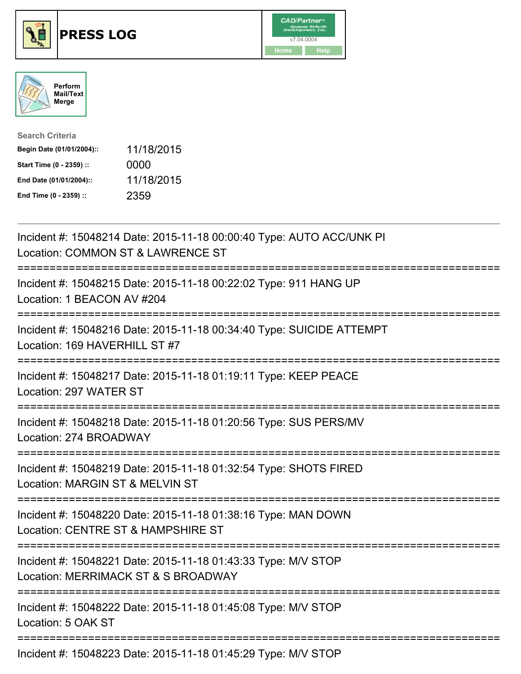





| <b>Search Criteria</b>    |            |
|---------------------------|------------|
| Begin Date (01/01/2004):: | 11/18/2015 |
| Start Time (0 - 2359) ::  | 0000       |
| End Date (01/01/2004)::   | 11/18/2015 |
| End Time (0 - 2359) ::    | 2359       |

| Incident #: 15048214 Date: 2015-11-18 00:00:40 Type: AUTO ACC/UNK PI<br>Location: COMMON ST & LAWRENCE ST                                 |
|-------------------------------------------------------------------------------------------------------------------------------------------|
| Incident #: 15048215 Date: 2015-11-18 00:22:02 Type: 911 HANG UP<br>Location: 1 BEACON AV #204                                            |
| Incident #: 15048216 Date: 2015-11-18 00:34:40 Type: SUICIDE ATTEMPT<br>Location: 169 HAVERHILL ST #7                                     |
| Incident #: 15048217 Date: 2015-11-18 01:19:11 Type: KEEP PEACE<br>Location: 297 WATER ST                                                 |
| Incident #: 15048218 Date: 2015-11-18 01:20:56 Type: SUS PERS/MV<br>Location: 274 BROADWAY<br>--------------                              |
| Incident #: 15048219 Date: 2015-11-18 01:32:54 Type: SHOTS FIRED<br>Location: MARGIN ST & MELVIN ST                                       |
| Incident #: 15048220 Date: 2015-11-18 01:38:16 Type: MAN DOWN<br>Location: CENTRE ST & HAMPSHIRE ST<br>.----------------------------      |
| Incident #: 15048221 Date: 2015-11-18 01:43:33 Type: M/V STOP<br>Location: MERRIMACK ST & S BROADWAY<br>================================= |
| Incident #: 15048222 Date: 2015-11-18 01:45:08 Type: M/V STOP<br>Location: 5 OAK ST                                                       |
| Incident #: 15048223 Date: 2015-11-18 01:45:29 Type: M/V STOP                                                                             |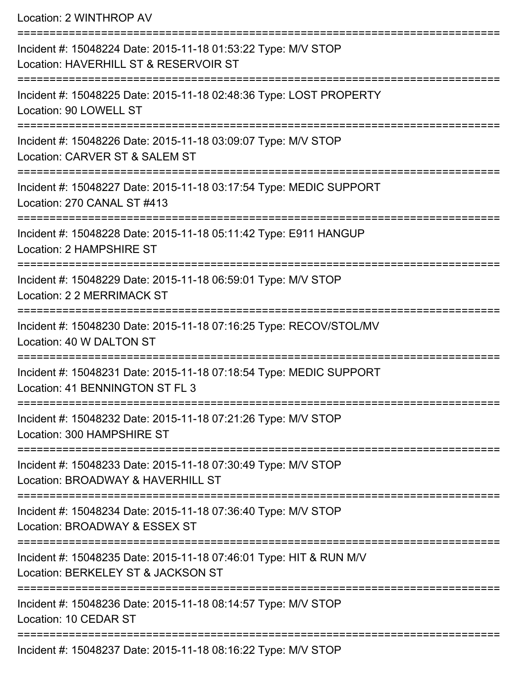Location: 2 WINTHROP AV

| Incident #: 15048224 Date: 2015-11-18 01:53:22 Type: M/V STOP<br>Location: HAVERHILL ST & RESERVOIR ST   |
|----------------------------------------------------------------------------------------------------------|
| Incident #: 15048225 Date: 2015-11-18 02:48:36 Type: LOST PROPERTY<br>Location: 90 LOWELL ST             |
| Incident #: 15048226 Date: 2015-11-18 03:09:07 Type: M/V STOP<br>Location: CARVER ST & SALEM ST          |
| Incident #: 15048227 Date: 2015-11-18 03:17:54 Type: MEDIC SUPPORT<br>Location: 270 CANAL ST #413        |
| Incident #: 15048228 Date: 2015-11-18 05:11:42 Type: E911 HANGUP<br>Location: 2 HAMPSHIRE ST             |
| Incident #: 15048229 Date: 2015-11-18 06:59:01 Type: M/V STOP<br>Location: 2 2 MERRIMACK ST              |
| Incident #: 15048230 Date: 2015-11-18 07:16:25 Type: RECOV/STOL/MV<br>Location: 40 W DALTON ST           |
| Incident #: 15048231 Date: 2015-11-18 07:18:54 Type: MEDIC SUPPORT<br>Location: 41 BENNINGTON ST FL 3    |
| Incident #: 15048232 Date: 2015-11-18 07:21:26 Type: M/V STOP<br>Location: 300 HAMPSHIRE ST              |
| Incident #: 15048233 Date: 2015-11-18 07:30:49 Type: M/V STOP<br>Location: BROADWAY & HAVERHILL ST       |
| Incident #: 15048234 Date: 2015-11-18 07:36:40 Type: M/V STOP<br>Location: BROADWAY & ESSEX ST           |
| Incident #: 15048235 Date: 2015-11-18 07:46:01 Type: HIT & RUN M/V<br>Location: BERKELEY ST & JACKSON ST |
| Incident #: 15048236 Date: 2015-11-18 08:14:57 Type: M/V STOP<br>Location: 10 CEDAR ST                   |
| Incident #: 15048237 Date: 2015-11-18 08:16:22 Type: M/V STOP                                            |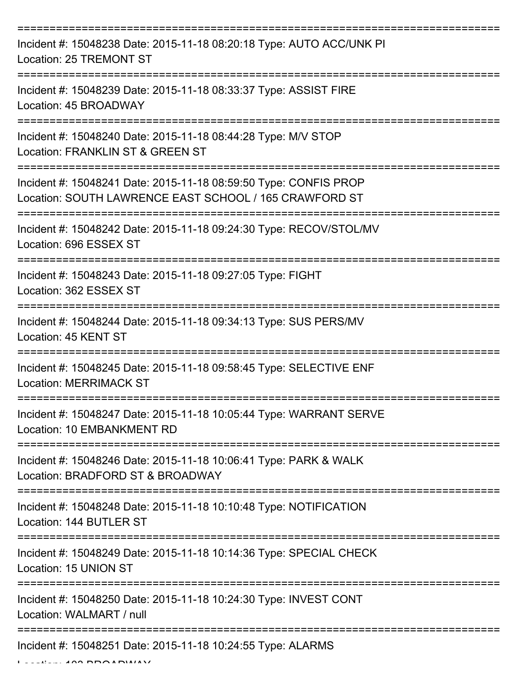| Incident #: 15048238 Date: 2015-11-18 08:20:18 Type: AUTO ACC/UNK PI<br><b>Location: 25 TREMONT ST</b>                     |
|----------------------------------------------------------------------------------------------------------------------------|
| Incident #: 15048239 Date: 2015-11-18 08:33:37 Type: ASSIST FIRE<br>Location: 45 BROADWAY                                  |
| Incident #: 15048240 Date: 2015-11-18 08:44:28 Type: M/V STOP<br>Location: FRANKLIN ST & GREEN ST                          |
| Incident #: 15048241 Date: 2015-11-18 08:59:50 Type: CONFIS PROP<br>Location: SOUTH LAWRENCE EAST SCHOOL / 165 CRAWFORD ST |
| Incident #: 15048242 Date: 2015-11-18 09:24:30 Type: RECOV/STOL/MV<br>Location: 696 ESSEX ST                               |
| Incident #: 15048243 Date: 2015-11-18 09:27:05 Type: FIGHT<br>Location: 362 ESSEX ST                                       |
| Incident #: 15048244 Date: 2015-11-18 09:34:13 Type: SUS PERS/MV<br>Location: 45 KENT ST                                   |
| Incident #: 15048245 Date: 2015-11-18 09:58:45 Type: SELECTIVE ENF<br><b>Location: MERRIMACK ST</b>                        |
| Incident #: 15048247 Date: 2015-11-18 10:05:44 Type: WARRANT SERVE<br>Location: 10 EMBANKMENT RD                           |
| Incident #: 15048246 Date: 2015-11-18 10:06:41 Type: PARK & WALK<br>Location: BRADFORD ST & BROADWAY                       |
| Incident #: 15048248 Date: 2015-11-18 10:10:48 Type: NOTIFICATION<br>Location: 144 BUTLER ST                               |
| Incident #: 15048249 Date: 2015-11-18 10:14:36 Type: SPECIAL CHECK<br>Location: 15 UNION ST                                |
| Incident #: 15048250 Date: 2015-11-18 10:24:30 Type: INVEST CONT<br>Location: WALMART / null                               |
| Incident #: 15048251 Date: 2015-11-18 10:24:55 Type: ALARMS                                                                |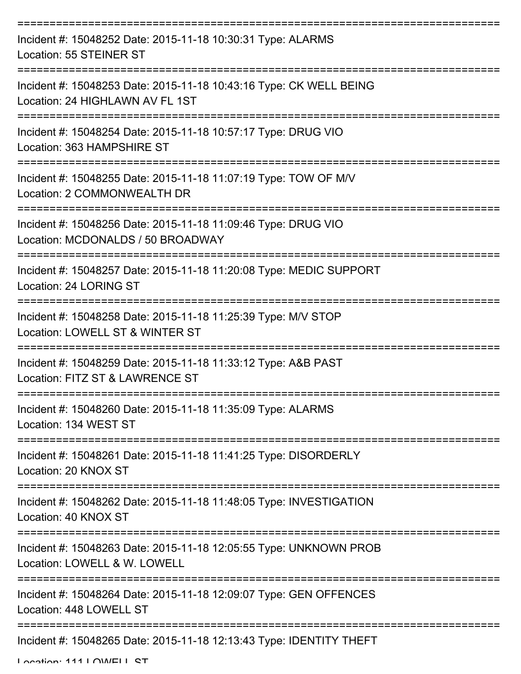| Incident #: 15048252 Date: 2015-11-18 10:30:31 Type: ALARMS<br>Location: 55 STEINER ST                            |
|-------------------------------------------------------------------------------------------------------------------|
| Incident #: 15048253 Date: 2015-11-18 10:43:16 Type: CK WELL BEING<br>Location: 24 HIGHLAWN AV FL 1ST             |
| Incident #: 15048254 Date: 2015-11-18 10:57:17 Type: DRUG VIO<br>Location: 363 HAMPSHIRE ST                       |
| Incident #: 15048255 Date: 2015-11-18 11:07:19 Type: TOW OF M/V<br>Location: 2 COMMONWEALTH DR                    |
| Incident #: 15048256 Date: 2015-11-18 11:09:46 Type: DRUG VIO<br>Location: MCDONALDS / 50 BROADWAY                |
| =================<br>Incident #: 15048257 Date: 2015-11-18 11:20:08 Type: MEDIC SUPPORT<br>Location: 24 LORING ST |
| Incident #: 15048258 Date: 2015-11-18 11:25:39 Type: M/V STOP<br>Location: LOWELL ST & WINTER ST                  |
| Incident #: 15048259 Date: 2015-11-18 11:33:12 Type: A&B PAST<br>Location: FITZ ST & LAWRENCE ST                  |
| Incident #: 15048260 Date: 2015-11-18 11:35:09 Type: ALARMS<br>Location: 134 WEST ST                              |
| Incident #: 15048261 Date: 2015-11-18 11:41:25 Type: DISORDERLY<br>Location: 20 KNOX ST                           |
| Incident #: 15048262 Date: 2015-11-18 11:48:05 Type: INVESTIGATION<br>Location: 40 KNOX ST                        |
| Incident #: 15048263 Date: 2015-11-18 12:05:55 Type: UNKNOWN PROB<br>Location: LOWELL & W. LOWELL                 |
| Incident #: 15048264 Date: 2015-11-18 12:09:07 Type: GEN OFFENCES<br>Location: 448 LOWELL ST                      |
| Incident #: 15048265 Date: 2015-11-18 12:13:43 Type: IDENTITY THEFT                                               |

Location: 111 | OWELL CT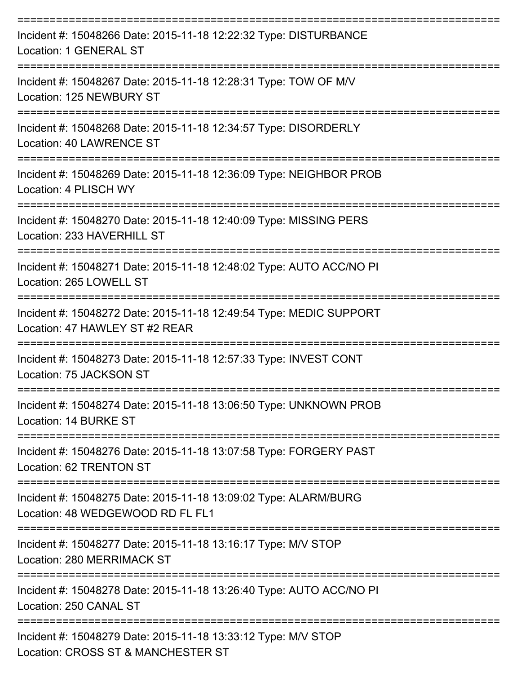| Incident #: 15048266 Date: 2015-11-18 12:22:32 Type: DISTURBANCE<br>Location: 1 GENERAL ST                           |
|----------------------------------------------------------------------------------------------------------------------|
| Incident #: 15048267 Date: 2015-11-18 12:28:31 Type: TOW OF M/V<br>Location: 125 NEWBURY ST                          |
| Incident #: 15048268 Date: 2015-11-18 12:34:57 Type: DISORDERLY<br>Location: 40 LAWRENCE ST                          |
| Incident #: 15048269 Date: 2015-11-18 12:36:09 Type: NEIGHBOR PROB<br>Location: 4 PLISCH WY                          |
| Incident #: 15048270 Date: 2015-11-18 12:40:09 Type: MISSING PERS<br>Location: 233 HAVERHILL ST                      |
| Incident #: 15048271 Date: 2015-11-18 12:48:02 Type: AUTO ACC/NO PI<br>Location: 265 LOWELL ST                       |
| Incident #: 15048272 Date: 2015-11-18 12:49:54 Type: MEDIC SUPPORT<br>Location: 47 HAWLEY ST #2 REAR                 |
| Incident #: 15048273 Date: 2015-11-18 12:57:33 Type: INVEST CONT<br>Location: 75 JACKSON ST                          |
| Incident #: 15048274 Date: 2015-11-18 13:06:50 Type: UNKNOWN PROB<br>Location: 14 BURKE ST                           |
| ====================<br>Incident #: 15048276 Date: 2015-11-18 13:07:58 Type: FORGERY PAST<br>Location: 62 TRENTON ST |
| Incident #: 15048275 Date: 2015-11-18 13:09:02 Type: ALARM/BURG<br>Location: 48 WEDGEWOOD RD FL FL1                  |
| Incident #: 15048277 Date: 2015-11-18 13:16:17 Type: M/V STOP<br><b>Location: 280 MERRIMACK ST</b>                   |
| Incident #: 15048278 Date: 2015-11-18 13:26:40 Type: AUTO ACC/NO PI<br>Location: 250 CANAL ST                        |
| Incident #: 15048279 Date: 2015-11-18 13:33:12 Type: M/V STOP<br>Location: CROSS ST & MANCHESTER ST                  |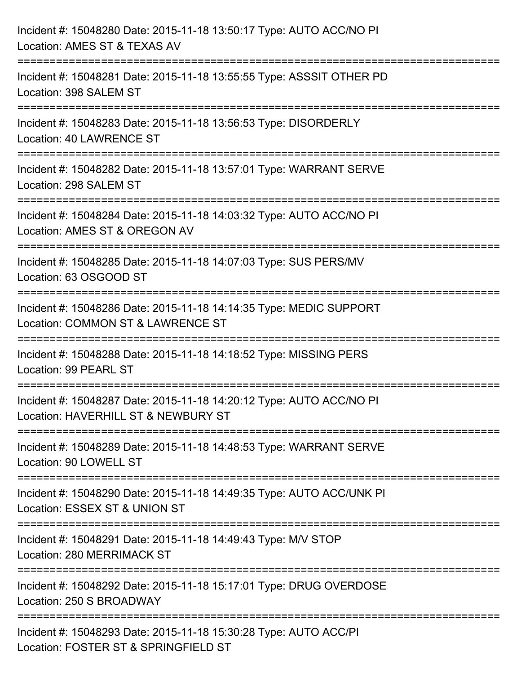| Incident #: 15048280 Date: 2015-11-18 13:50:17 Type: AUTO ACC/NO PI<br>Location: AMES ST & TEXAS AV                                               |
|---------------------------------------------------------------------------------------------------------------------------------------------------|
| Incident #: 15048281 Date: 2015-11-18 13:55:55 Type: ASSSIT OTHER PD<br>Location: 398 SALEM ST                                                    |
| Incident #: 15048283 Date: 2015-11-18 13:56:53 Type: DISORDERLY<br><b>Location: 40 LAWRENCE ST</b><br>:================================           |
| Incident #: 15048282 Date: 2015-11-18 13:57:01 Type: WARRANT SERVE<br>Location: 298 SALEM ST                                                      |
| Incident #: 15048284 Date: 2015-11-18 14:03:32 Type: AUTO ACC/NO PI<br>Location: AMES ST & OREGON AV<br>==================================        |
| Incident #: 15048285 Date: 2015-11-18 14:07:03 Type: SUS PERS/MV<br>Location: 63 OSGOOD ST                                                        |
| Incident #: 15048286 Date: 2015-11-18 14:14:35 Type: MEDIC SUPPORT<br>Location: COMMON ST & LAWRENCE ST<br>:===================================== |
| Incident #: 15048288 Date: 2015-11-18 14:18:52 Type: MISSING PERS<br>Location: 99 PEARL ST                                                        |
| Incident #: 15048287 Date: 2015-11-18 14:20:12 Type: AUTO ACC/NO PI<br>Location: HAVERHILL ST & NEWBURY ST                                        |
| Incident #: 15048289 Date: 2015-11-18 14:48:53 Type: WARRANT SERVE<br>Location: 90 LOWELL ST                                                      |
| Incident #: 15048290 Date: 2015-11-18 14:49:35 Type: AUTO ACC/UNK PI<br>Location: ESSEX ST & UNION ST                                             |
| Incident #: 15048291 Date: 2015-11-18 14:49:43 Type: M/V STOP<br>Location: 280 MERRIMACK ST                                                       |
| Incident #: 15048292 Date: 2015-11-18 15:17:01 Type: DRUG OVERDOSE<br>Location: 250 S BROADWAY                                                    |
| Incident #: 15048293 Date: 2015-11-18 15:30:28 Type: AUTO ACC/PI<br>Location: FOSTER ST & SPRINGFIELD ST                                          |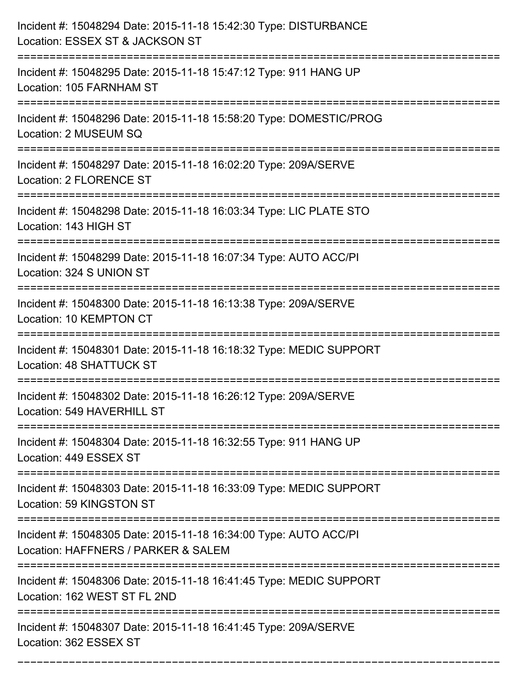| Incident #: 15048294 Date: 2015-11-18 15:42:30 Type: DISTURBANCE<br>Location: ESSEX ST & JACKSON ST                                      |
|------------------------------------------------------------------------------------------------------------------------------------------|
| Incident #: 15048295 Date: 2015-11-18 15:47:12 Type: 911 HANG UP<br>Location: 105 FARNHAM ST                                             |
| Incident #: 15048296 Date: 2015-11-18 15:58:20 Type: DOMESTIC/PROG<br>Location: 2 MUSEUM SQ                                              |
| Incident #: 15048297 Date: 2015-11-18 16:02:20 Type: 209A/SERVE<br>Location: 2 FLORENCE ST                                               |
| Incident #: 15048298 Date: 2015-11-18 16:03:34 Type: LIC PLATE STO<br>Location: 143 HIGH ST                                              |
| Incident #: 15048299 Date: 2015-11-18 16:07:34 Type: AUTO ACC/PI<br>Location: 324 S UNION ST                                             |
| Incident #: 15048300 Date: 2015-11-18 16:13:38 Type: 209A/SERVE<br>Location: 10 KEMPTON CT                                               |
| Incident #: 15048301 Date: 2015-11-18 16:18:32 Type: MEDIC SUPPORT<br>Location: 48 SHATTUCK ST                                           |
| Incident #: 15048302 Date: 2015-11-18 16:26:12 Type: 209A/SERVE<br>Location: 549 HAVERHILL ST                                            |
| Incident #: 15048304 Date: 2015-11-18 16:32:55 Type: 911 HANG UP<br>Location: 449 ESSEX ST<br>:====================                      |
| Incident #: 15048303 Date: 2015-11-18 16:33:09 Type: MEDIC SUPPORT<br>Location: 59 KINGSTON ST                                           |
| Incident #: 15048305 Date: 2015-11-18 16:34:00 Type: AUTO ACC/PI<br>Location: HAFFNERS / PARKER & SALEM<br>----------------------------- |
| Incident #: 15048306 Date: 2015-11-18 16:41:45 Type: MEDIC SUPPORT<br>Location: 162 WEST ST FL 2ND                                       |
| Incident #: 15048307 Date: 2015-11-18 16:41:45 Type: 209A/SERVE<br>Location: 362 ESSEX ST                                                |

===========================================================================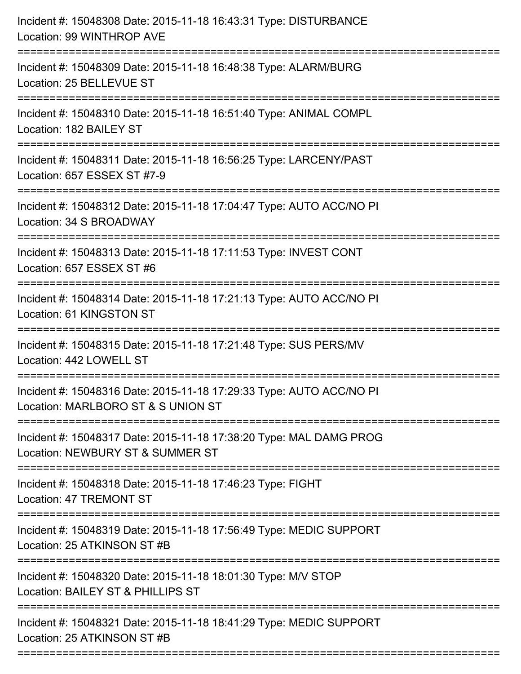| Incident #: 15048308 Date: 2015-11-18 16:43:31 Type: DISTURBANCE<br>Location: 99 WINTHROP AVE                                           |
|-----------------------------------------------------------------------------------------------------------------------------------------|
| :==================================<br>Incident #: 15048309 Date: 2015-11-18 16:48:38 Type: ALARM/BURG<br>Location: 25 BELLEVUE ST      |
| Incident #: 15048310 Date: 2015-11-18 16:51:40 Type: ANIMAL COMPL<br>Location: 182 BAILEY ST                                            |
| Incident #: 15048311 Date: 2015-11-18 16:56:25 Type: LARCENY/PAST<br>Location: 657 ESSEX ST #7-9                                        |
| Incident #: 15048312 Date: 2015-11-18 17:04:47 Type: AUTO ACC/NO PI<br>Location: 34 S BROADWAY<br>====================================  |
| Incident #: 15048313 Date: 2015-11-18 17:11:53 Type: INVEST CONT<br>Location: 657 ESSEX ST #6                                           |
| Incident #: 15048314 Date: 2015-11-18 17:21:13 Type: AUTO ACC/NO PI<br>Location: 61 KINGSTON ST<br>==================================== |
| Incident #: 15048315 Date: 2015-11-18 17:21:48 Type: SUS PERS/MV<br>Location: 442 LOWELL ST                                             |
| Incident #: 15048316 Date: 2015-11-18 17:29:33 Type: AUTO ACC/NO PI<br>Location: MARLBORO ST & S UNION ST                               |
| Incident #: 15048317 Date: 2015-11-18 17:38:20 Type: MAL DAMG PROG<br>Location: NEWBURY ST & SUMMER ST                                  |
| Incident #: 15048318 Date: 2015-11-18 17:46:23 Type: FIGHT<br><b>Location: 47 TREMONT ST</b>                                            |
| Incident #: 15048319 Date: 2015-11-18 17:56:49 Type: MEDIC SUPPORT<br>Location: 25 ATKINSON ST #B                                       |
| Incident #: 15048320 Date: 2015-11-18 18:01:30 Type: M/V STOP<br>Location: BAILEY ST & PHILLIPS ST                                      |
| Incident #: 15048321 Date: 2015-11-18 18:41:29 Type: MEDIC SUPPORT<br>Location: 25 ATKINSON ST #B                                       |
|                                                                                                                                         |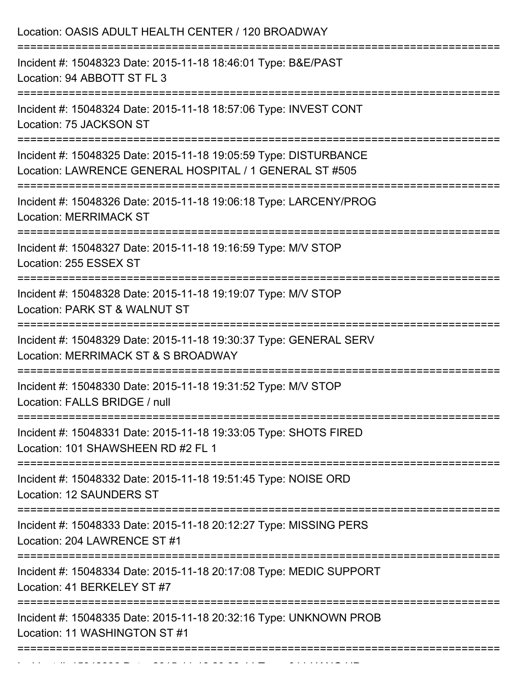| Location: OASIS ADULT HEALTH CENTER / 120 BROADWAY                                                                          |
|-----------------------------------------------------------------------------------------------------------------------------|
| Incident #: 15048323 Date: 2015-11-18 18:46:01 Type: B&E/PAST<br>Location: 94 ABBOTT ST FL 3                                |
| Incident #: 15048324 Date: 2015-11-18 18:57:06 Type: INVEST CONT<br>Location: 75 JACKSON ST                                 |
| Incident #: 15048325 Date: 2015-11-18 19:05:59 Type: DISTURBANCE<br>Location: LAWRENCE GENERAL HOSPITAL / 1 GENERAL ST #505 |
| Incident #: 15048326 Date: 2015-11-18 19:06:18 Type: LARCENY/PROG<br><b>Location: MERRIMACK ST</b>                          |
| Incident #: 15048327 Date: 2015-11-18 19:16:59 Type: M/V STOP<br>Location: 255 ESSEX ST                                     |
| Incident #: 15048328 Date: 2015-11-18 19:19:07 Type: M/V STOP<br>Location: PARK ST & WALNUT ST                              |
| Incident #: 15048329 Date: 2015-11-18 19:30:37 Type: GENERAL SERV<br>Location: MERRIMACK ST & S BROADWAY                    |
| Incident #: 15048330 Date: 2015-11-18 19:31:52 Type: M/V STOP<br>Location: FALLS BRIDGE / null                              |
| Incident #: 15048331 Date: 2015-11-18 19:33:05 Type: SHOTS FIRED<br>Location: 101 SHAWSHEEN RD #2 FL 1                      |
| Incident #: 15048332 Date: 2015-11-18 19:51:45 Type: NOISE ORD<br>Location: 12 SAUNDERS ST                                  |
| Incident #: 15048333 Date: 2015-11-18 20:12:27 Type: MISSING PERS<br>Location: 204 LAWRENCE ST #1                           |
| Incident #: 15048334 Date: 2015-11-18 20:17:08 Type: MEDIC SUPPORT<br>Location: 41 BERKELEY ST #7                           |
| Incident #: 15048335 Date: 2015-11-18 20:32:16 Type: UNKNOWN PROB<br>Location: 11 WASHINGTON ST #1                          |
|                                                                                                                             |

Incident #: 1504836 Date: 2015 11 18 2020 11 18 2040 11 18 2040 11 18 2040 11 18 2040 11 18 2040 11 18 2040 11<br>.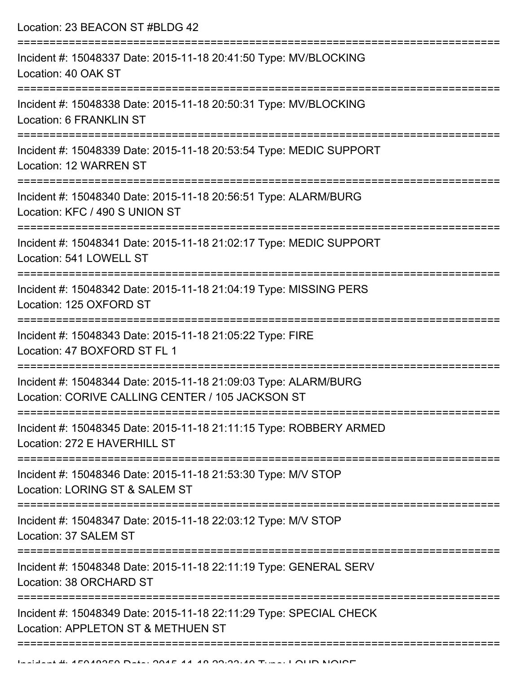Location: 23 BEACON ST #BLDG 42

| Incident #: 15048337 Date: 2015-11-18 20:41:50 Type: MV/BLOCKING<br>Location: 40 OAK ST                             |
|---------------------------------------------------------------------------------------------------------------------|
| Incident #: 15048338 Date: 2015-11-18 20:50:31 Type: MV/BLOCKING<br>Location: 6 FRANKLIN ST                         |
| Incident #: 15048339 Date: 2015-11-18 20:53:54 Type: MEDIC SUPPORT<br>Location: 12 WARREN ST                        |
| Incident #: 15048340 Date: 2015-11-18 20:56:51 Type: ALARM/BURG<br>Location: KFC / 490 S UNION ST                   |
| Incident #: 15048341 Date: 2015-11-18 21:02:17 Type: MEDIC SUPPORT<br>Location: 541 LOWELL ST                       |
| Incident #: 15048342 Date: 2015-11-18 21:04:19 Type: MISSING PERS<br>Location: 125 OXFORD ST                        |
| Incident #: 15048343 Date: 2015-11-18 21:05:22 Type: FIRE<br>Location: 47 BOXFORD ST FL 1                           |
| Incident #: 15048344 Date: 2015-11-18 21:09:03 Type: ALARM/BURG<br>Location: CORIVE CALLING CENTER / 105 JACKSON ST |
| Incident #: 15048345 Date: 2015-11-18 21:11:15 Type: ROBBERY ARMED<br>Location: 272 E HAVERHILL ST                  |
| Incident #: 15048346 Date: 2015-11-18 21:53:30 Type: M/V STOP<br>Location: LORING ST & SALEM ST                     |
| Incident #: 15048347 Date: 2015-11-18 22:03:12 Type: M/V STOP<br>Location: 37 SALEM ST                              |
| Incident #: 15048348 Date: 2015-11-18 22:11:19 Type: GENERAL SERV<br>Location: 38 ORCHARD ST                        |
| Incident #: 15048349 Date: 2015-11-18 22:11:29 Type: SPECIAL CHECK<br>Location: APPLETON ST & METHUEN ST            |
|                                                                                                                     |